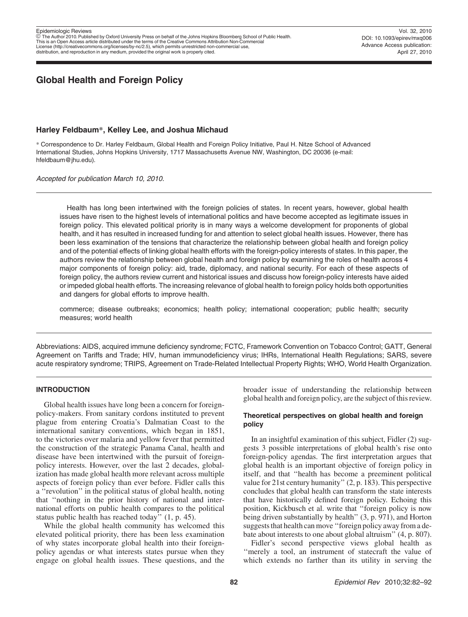# Global Health and Foreign Policy

# Harley Feldbaum*\**, Kelley Lee, and Joshua Michaud

\* Correspondence to Dr. Harley Feldbaum, Global Health and Foreign Policy Initiative, Paul H. Nitze School of Advanced International Studies, Johns Hopkins University, 1717 Massachusetts Avenue NW, Washington, DC 20036 (e-mail: hfeldbaum@jhu.edu).

Accepted for publication March 10, 2010.

Health has long been intertwined with the foreign policies of states. In recent years, however, global health issues have risen to the highest levels of international politics and have become accepted as legitimate issues in foreign policy. This elevated political priority is in many ways a welcome development for proponents of global health, and it has resulted in increased funding for and attention to select global health issues. However, there has been less examination of the tensions that characterize the relationship between global health and foreign policy and of the potential effects of linking global health efforts with the foreign-policy interests of states. In this paper, the authors review the relationship between global health and foreign policy by examining the roles of health across 4 major components of foreign policy: aid, trade, diplomacy, and national security. For each of these aspects of foreign policy, the authors review current and historical issues and discuss how foreign-policy interests have aided or impeded global health efforts. The increasing relevance of global health to foreign policy holds both opportunities and dangers for global efforts to improve health.

commerce; disease outbreaks; economics; health policy; international cooperation; public health; security measures; world health

Abbreviations: AIDS, acquired immune deficiency syndrome; FCTC, Framework Convention on Tobacco Control; GATT, General Agreement on Tariffs and Trade; HIV, human immunodeficiency virus; IHRs, International Health Regulations; SARS, severe acute respiratory syndrome; TRIPS, Agreement on Trade-Related Intellectual Property Rights; WHO, World Health Organization.

# INTRODUCTION

Global health issues have long been a concern for foreignpolicy-makers. From sanitary cordons instituted to prevent plague from entering Croatia's Dalmatian Coast to the international sanitary conventions, which began in 1851, to the victories over malaria and yellow fever that permitted the construction of the strategic Panama Canal, health and disease have been intertwined with the pursuit of foreignpolicy interests. However, over the last 2 decades, globalization has made global health more relevant across multiple aspects of foreign policy than ever before. Fidler calls this a ''revolution'' in the political status of global health, noting that ''nothing in the prior history of national and international efforts on public health compares to the political status public health has reached today'' (1, p. 45).

While the global health community has welcomed this elevated political priority, there has been less examination of why states incorporate global health into their foreignpolicy agendas or what interests states pursue when they engage on global health issues. These questions, and the broader issue of understanding the relationship between global health and foreign policy, are the subject of this review.

# Theoretical perspectives on global health and foreign policy

In an insightful examination of this subject, Fidler (2) suggests 3 possible interpretations of global health's rise onto foreign-policy agendas. The first interpretation argues that global health is an important objective of foreign policy in itself, and that ''health has become a preeminent political value for 21st century humanity'' (2, p. 183). This perspective concludes that global health can transform the state interests that have historically defined foreign policy. Echoing this position, Kickbusch et al. write that ''foreign policy is now being driven substantially by health'' (3, p. 971), and Horton suggests that health can move ''foreign policy away from a debate about interests to one about global altruism'' (4, p. 807).

Fidler's second perspective views global health as ''merely a tool, an instrument of statecraft the value of which extends no farther than its utility in serving the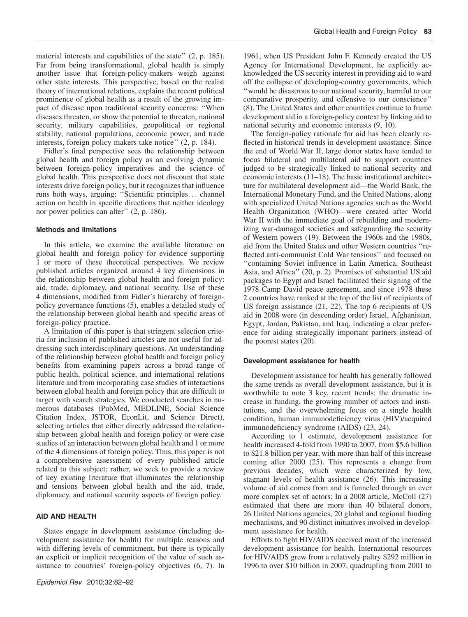material interests and capabilities of the state'' (2, p. 185). Far from being transformational, global health is simply another issue that foreign-policy-makers weigh against other state interests. This perspective, based on the realist theory of international relations, explains the recent political prominence of global health as a result of the growing impact of disease upon traditional security concerns: ''When diseases threaten, or show the potential to threaten, national security, military capabilities, geopolitical or regional stability, national populations, economic power, and trade interests, foreign policy makers take notice'' (2, p. 184).

Fidler's final perspective sees the relationship between global health and foreign policy as an evolving dynamic between foreign-policy imperatives and the science of global health. This perspective does not discount that state interests drive foreign policy, but it recognizes that influence runs both ways, arguing: ''Scientific principles... channel action on health in specific directions that neither ideology nor power politics can alter"  $(2, p. 186)$ .

#### Methods and limitations

In this article, we examine the available literature on global health and foreign policy for evidence supporting 1 or more of these theoretical perspectives. We review published articles organized around 4 key dimensions in the relationship between global health and foreign policy: aid, trade, diplomacy, and national security. Use of these 4 dimensions, modified from Fidler's hierarchy of foreignpolicy governance functions (5), enables a detailed study of the relationship between global health and specific areas of foreign-policy practice.

A limitation of this paper is that stringent selection criteria for inclusion of published articles are not useful for addressing such interdisciplinary questions. An understanding of the relationship between global health and foreign policy benefits from examining papers across a broad range of public health, political science, and international relations literature and from incorporating case studies of interactions between global health and foreign policy that are difficult to target with search strategies. We conducted searches in numerous databases (PubMed, MEDLINE, Social Science Citation Index, JSTOR, EconLit, and Science Direct), selecting articles that either directly addressed the relationship between global health and foreign policy or were case studies of an interaction between global health and 1 or more of the 4 dimensions of foreign policy. Thus, this paper is not a comprehensive assessment of every published article related to this subject; rather, we seek to provide a review of key existing literature that illuminates the relationship and tensions between global health and the aid, trade, diplomacy, and national security aspects of foreign policy.

## AID AND HEALTH

States engage in development assistance (including development assistance for health) for multiple reasons and with differing levels of commitment, but there is typically an explicit or implicit recognition of the value of such assistance to countries' foreign-policy objectives (6, 7). In

1961, when US President John F. Kennedy created the US Agency for International Development, he explicitly acknowledged the US security interest in providing aid to ward off the collapse of developing-country governments, which ''would be disastrous to our national security, harmful to our comparative prosperity, and offensive to our conscience'' (8). The United States and other countries continue to frame development aid in a foreign-policy context by linking aid to national security and economic interests (9, 10).

The foreign-policy rationale for aid has been clearly reflected in historical trends in development assistance. Since the end of World War II, large donor states have tended to focus bilateral and multilateral aid to support countries judged to be strategically linked to national security and economic interests (11–18). The basic institutional architecture for multilateral development aid—the World Bank, the International Monetary Fund, and the United Nations, along with specialized United Nations agencies such as the World Health Organization (WHO)—were created after World War II with the immediate goal of rebuilding and modernizing war-damaged societies and safeguarding the security of Western powers (19). Between the 1960s and the 1980s, aid from the United States and other Western countries ''reflected anti-communist Cold War tensions'' and focused on ''containing Soviet influence in Latin America, Southeast Asia, and Africa'' (20, p. 2). Promises of substantial US aid packages to Egypt and Israel facilitated their signing of the 1978 Camp David peace agreement, and since 1978 these 2 countries have ranked at the top of the list of recipients of US foreign assistance (21, 22). The top 6 recipients of US aid in 2008 were (in descending order) Israel, Afghanistan, Egypt, Jordan, Pakistan, and Iraq, indicating a clear preference for aiding strategically important partners instead of the poorest states (20).

#### Development assistance for health

Development assistance for health has generally followed the same trends as overall development assistance, but it is worthwhile to note 3 key, recent trends: the dramatic increase in funding, the growing number of actors and institutions, and the overwhelming focus on a single health condition, human immunodeficiency virus (HIV)/acquired immunodeficiency syndrome (AIDS) (23, 24).

According to 1 estimate, development assistance for health increased 4-fold from 1990 to 2007, from \$5.6 billion to \$21.8 billion per year, with more than half of this increase coming after 2000 (25). This represents a change from previous decades, which were characterized by low, stagnant levels of health assistance (26). This increasing volume of aid comes from and is funneled through an ever more complex set of actors: In a 2008 article, McColl  $(27)$ estimated that there are more than 40 bilateral donors, 26 United Nations agencies, 20 global and regional funding mechanisms, and 90 distinct initiatives involved in development assistance for health.

Efforts to fight HIV/AIDS received most of the increased development assistance for health. International resources for HIV/AIDS grew from a relatively paltry \$292 million in 1996 to over \$10 billion in 2007, quadrupling from 2001 to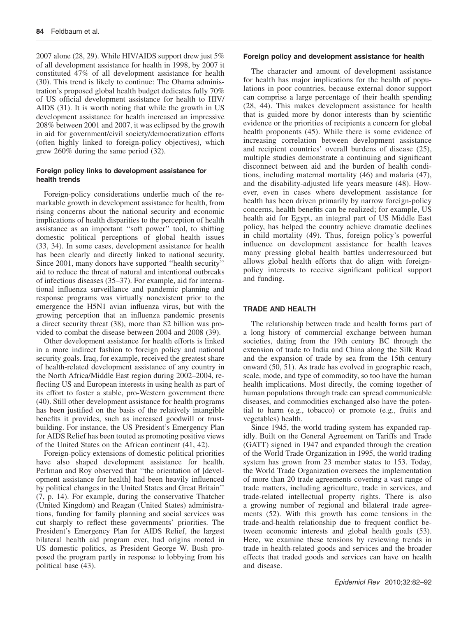2007 alone (28, 29). While HIV/AIDS support drew just 5% of all development assistance for health in 1998, by 2007 it constituted 47% of all development assistance for health (30). This trend is likely to continue: The Obama administration's proposed global health budget dedicates fully 70% of US official development assistance for health to HIV/ AIDS (31). It is worth noting that while the growth in US development assistance for health increased an impressive 208% between 2001 and 2007, it was eclipsed by the growth in aid for government/civil society/democratization efforts (often highly linked to foreign-policy objectives), which grew 260% during the same period (32).

# Foreign policy links to development assistance for health trends

Foreign-policy considerations underlie much of the remarkable growth in development assistance for health, from rising concerns about the national security and economic implications of health disparities to the perception of health assistance as an important ''soft power'' tool, to shifting domestic political perceptions of global health issues (33, 34). In some cases, development assistance for health has been clearly and directly linked to national security. Since 2001, many donors have supported ''health security'' aid to reduce the threat of natural and intentional outbreaks of infectious diseases (35–37). For example, aid for international influenza surveillance and pandemic planning and response programs was virtually nonexistent prior to the emergence the H5N1 avian influenza virus, but with the growing perception that an influenza pandemic presents a direct security threat (38), more than \$2 billion was provided to combat the disease between 2004 and 2008 (39).

Other development assistance for health efforts is linked in a more indirect fashion to foreign policy and national security goals. Iraq, for example, received the greatest share of health-related development assistance of any country in the North Africa/Middle East region during 2002–2004, reflecting US and European interests in using health as part of its effort to foster a stable, pro-Western government there (40). Still other development assistance for health programs has been justified on the basis of the relatively intangible benefits it provides, such as increased goodwill or trustbuilding. For instance, the US President's Emergency Plan for AIDS Relief has been touted as promoting positive views of the United States on the African continent (41, 42).

Foreign-policy extensions of domestic political priorities have also shaped development assistance for health. Perlman and Roy observed that ''the orientation of [development assistance for health] had been heavily influenced by political changes in the United States and Great Britain'' (7, p. 14). For example, during the conservative Thatcher (United Kingdom) and Reagan (United States) administrations, funding for family planning and social services was cut sharply to reflect these governments' priorities. The President's Emergency Plan for AIDS Relief, the largest bilateral health aid program ever, had origins rooted in US domestic politics, as President George W. Bush proposed the program partly in response to lobbying from his political base (43).

## Foreign policy and development assistance for health

The character and amount of development assistance for health has major implications for the health of populations in poor countries, because external donor support can comprise a large percentage of their health spending (28, 44). This makes development assistance for health that is guided more by donor interests than by scientific evidence or the priorities of recipients a concern for global health proponents (45). While there is some evidence of increasing correlation between development assistance and recipient countries' overall burdens of disease (25), multiple studies demonstrate a continuing and significant disconnect between aid and the burden of health conditions, including maternal mortality (46) and malaria (47), and the disability-adjusted life years measure (48). However, even in cases where development assistance for health has been driven primarily by narrow foreign-policy concerns, health benefits can be realized; for example, US health aid for Egypt, an integral part of US Middle East policy, has helped the country achieve dramatic declines in child mortality (49). Thus, foreign policy's powerful influence on development assistance for health leaves many pressing global health battles underresourced but allows global health efforts that do align with foreignpolicy interests to receive significant political support and funding.

# TRADE AND HEALTH

The relationship between trade and health forms part of a long history of commercial exchange between human societies, dating from the 19th century BC through the extension of trade to India and China along the Silk Road and the expansion of trade by sea from the 15th century onward (50, 51). As trade has evolved in geographic reach, scale, mode, and type of commodity, so too have the human health implications. Most directly, the coming together of human populations through trade can spread communicable diseases, and commodities exchanged also have the potential to harm (e.g., tobacco) or promote (e.g., fruits and vegetables) health.

Since 1945, the world trading system has expanded rapidly. Built on the General Agreement on Tariffs and Trade (GATT) signed in 1947 and expanded through the creation of the World Trade Organization in 1995, the world trading system has grown from 23 member states to 153. Today, the World Trade Organization oversees the implementation of more than 20 trade agreements covering a vast range of trade matters, including agriculture, trade in services, and trade-related intellectual property rights. There is also a growing number of regional and bilateral trade agreements (52). With this growth has come tensions in the trade-and-health relationship due to frequent conflict between economic interests and global health goals (53). Here, we examine these tensions by reviewing trends in trade in health-related goods and services and the broader effects that traded goods and services can have on health and disease.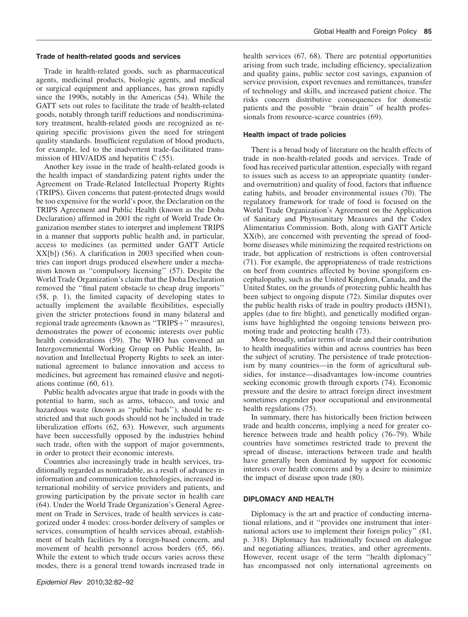Trade in health-related goods, such as pharmaceutical agents, medicinal products, biologic agents, and medical or surgical equipment and appliances, has grown rapidly since the 1990s, notably in the Americas (54). While the GATT sets out rules to facilitate the trade of health-related goods, notably through tariff reductions and nondiscriminatory treatment, health-related goods are recognized as requiring specific provisions given the need for stringent quality standards. Insufficient regulation of blood products, for example, led to the inadvertent trade-facilitated transmission of HIV/AIDS and hepatitis C (55).

Another key issue in the trade of health-related goods is the health impact of standardizing patent rights under the Agreement on Trade-Related Intellectual Property Rights (TRIPS). Given concerns that patent-protected drugs would be too expensive for the world's poor, the Declaration on the TRIPS Agreement and Public Health (known as the Doha Declaration) affirmed in 2001 the right of World Trade Organization member states to interpret and implement TRIPS in a manner that supports public health and, in particular, access to medicines (as permitted under GATT Article XX[b]) (56). A clarification in 2003 specified when countries can import drugs produced elsewhere under a mechanism known as ''compulsory licensing'' (57). Despite the World Trade Organization's claim that the Doha Declaration removed the ''final patent obstacle to cheap drug imports'' (58, p. 1), the limited capacity of developing states to actually implement the available flexibilities, especially given the stricter protections found in many bilateral and regional trade agreements (known as "TRIPS+" measures), demonstrates the power of economic interests over public health considerations (59). The WHO has convened an Intergovernmental Working Group on Public Health, Innovation and Intellectual Property Rights to seek an international agreement to balance innovation and access to medicines, but agreement has remained elusive and negotiations continue (60, 61).

Public health advocates argue that trade in goods with the potential to harm, such as arms, tobacco, and toxic and hazardous waste (known as ''public bads''), should be restricted and that such goods should not be included in trade liberalization efforts (62, 63). However, such arguments have been successfully opposed by the industries behind such trade, often with the support of major governments, in order to protect their economic interests.

Countries also increasingly trade in health services, traditionally regarded as nontradable, as a result of advances in information and communication technologies, increased international mobility of service providers and patients, and growing participation by the private sector in health care (64). Under the World Trade Organization's General Agreement on Trade in Services, trade of health services is categorized under 4 modes: cross-border delivery of samples or services, consumption of health services abroad, establishment of health facilities by a foreign-based concern, and movement of health personnel across borders (65, 66). While the extent to which trade occurs varies across these modes, there is a general trend towards increased trade in

health services (67, 68). There are potential opportunities arising from such trade, including efficiency, specialization and quality gains, public sector cost savings, expansion of service provision, export revenues and remittances, transfer of technology and skills, and increased patient choice. The risks concern distributive consequences for domestic patients and the possible ''brain drain'' of health professionals from resource-scarce countries (69).

## Health impact of trade policies

There is a broad body of literature on the health effects of trade in non-health-related goods and services. Trade of food has received particular attention, especially with regard to issues such as access to an appropriate quantity (underand overnutrition) and quality of food, factors that influence eating habits, and broader environmental issues (70). The regulatory framework for trade of food is focused on the World Trade Organization's Agreement on the Application of Sanitary and Phytosanitary Measures and the Codex Alimentarius Commission. Both, along with GATT Article XX(b), are concerned with preventing the spread of foodborne diseases while minimizing the required restrictions on trade, but application of restrictions is often controversial (71). For example, the appropriateness of trade restrictions on beef from countries affected by bovine spongiform encephalopathy, such as the United Kingdom, Canada, and the United States, on the grounds of protecting public health has been subject to ongoing dispute (72). Similar disputes over the public health risks of trade in poultry products (H5N1), apples (due to fire blight), and genetically modified organisms have highlighted the ongoing tensions between promoting trade and protecting health (73).

More broadly, unfair terms of trade and their contribution to health inequalities within and across countries has been the subject of scrutiny. The persistence of trade protectionism by many countries—in the form of agricultural subsidies, for instance—disadvantages low-income countries seeking economic growth through exports (74). Economic pressure and the desire to attract foreign direct investment sometimes engender poor occupational and environmental health regulations (75).

In summary, there has historically been friction between trade and health concerns, implying a need for greater coherence between trade and health policy (76–79). While countries have sometimes restricted trade to prevent the spread of disease, interactions between trade and health have generally been dominated by support for economic interests over health concerns and by a desire to minimize the impact of disease upon trade (80).

## DIPLOMACY AND HEALTH

Diplomacy is the art and practice of conducting international relations, and it ''provides one instrument that international actors use to implement their foreign policy'' (81, p. 318). Diplomacy has traditionally focused on dialogue and negotiating alliances, treaties, and other agreements. However, recent usage of the term ''health diplomacy'' has encompassed not only international agreements on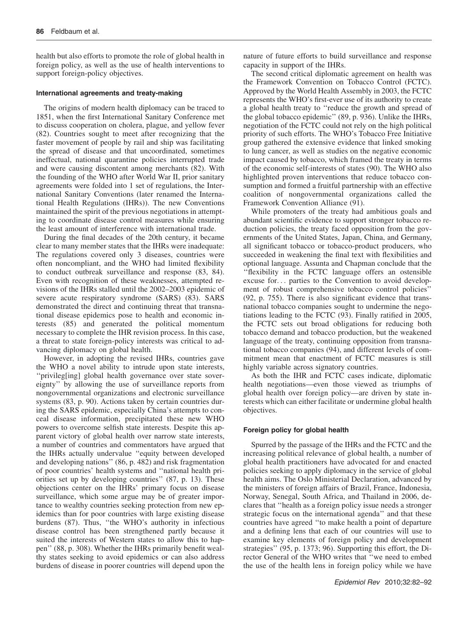health but also efforts to promote the role of global health in foreign policy, as well as the use of health interventions to support foreign-policy objectives.

#### International agreements and treaty-making

The origins of modern health diplomacy can be traced to 1851, when the first International Sanitary Conference met to discuss cooperation on cholera, plague, and yellow fever (82). Countries sought to meet after recognizing that the faster movement of people by rail and ship was facilitating the spread of disease and that uncoordinated, sometimes ineffectual, national quarantine policies interrupted trade and were causing discontent among merchants (82). With the founding of the WHO after World War II, prior sanitary agreements were folded into 1 set of regulations, the International Sanitary Conventions (later renamed the International Health Regulations (IHRs)). The new Conventions maintained the spirit of the previous negotiations in attempting to coordinate disease control measures while ensuring the least amount of interference with international trade.

During the final decades of the 20th century, it became clear to many member states that the IHRs were inadequate: The regulations covered only 3 diseases, countries were often noncompliant, and the WHO had limited flexibility to conduct outbreak surveillance and response (83, 84). Even with recognition of these weaknesses, attempted revisions of the IHRs stalled until the 2002–2003 epidemic of severe acute respiratory syndrome (SARS) (83). SARS demonstrated the direct and continuing threat that transnational disease epidemics pose to health and economic interests (85) and generated the political momentum necessary to complete the IHR revision process. In this case, a threat to state foreign-policy interests was critical to advancing diplomacy on global health.

However, in adopting the revised IHRs, countries gave the WHO a novel ability to intrude upon state interests, ''privileg[ing] global health governance over state sovereignty'' by allowing the use of surveillance reports from nongovernmental organizations and electronic surveillance systems (83, p. 90). Actions taken by certain countries during the SARS epidemic, especially China's attempts to conceal disease information, precipitated these new WHO powers to overcome selfish state interests. Despite this apparent victory of global health over narrow state interests, a number of countries and commentators have argued that the IHRs actually undervalue ''equity between developed and developing nations'' (86, p. 482) and risk fragmentation of poor countries' health systems and ''national health priorities set up by developing countries'' (87, p. 13). These objections center on the IHRs' primary focus on disease surveillance, which some argue may be of greater importance to wealthy countries seeking protection from new epidemics than for poor countries with large existing disease burdens (87). Thus, ''the WHO's authority in infectious disease control has been strengthened partly because it suited the interests of Western states to allow this to happen'' (88, p. 308). Whether the IHRs primarily benefit wealthy states seeking to avoid epidemics or can also address burdens of disease in poorer countries will depend upon the

nature of future efforts to build surveillance and response capacity in support of the IHRs.

The second critical diplomatic agreement on health was the Framework Convention on Tobacco Control (FCTC). Approved by the World Health Assembly in 2003, the FCTC represents the WHO's first-ever use of its authority to create a global health treaty to ''reduce the growth and spread of the global tobacco epidemic'' (89, p. 936). Unlike the IHRs, negotiation of the FCTC could not rely on the high political priority of such efforts. The WHO's Tobacco Free Initiative group gathered the extensive evidence that linked smoking to lung cancer, as well as studies on the negative economic impact caused by tobacco, which framed the treaty in terms of the economic self-interests of states (90). The WHO also highlighted proven interventions that reduce tobacco consumption and formed a fruitful partnership with an effective coalition of nongovernmental organizations called the Framework Convention Alliance (91).

While promoters of the treaty had ambitious goals and abundant scientific evidence to support stronger tobacco reduction policies, the treaty faced opposition from the governments of the United States, Japan, China, and Germany, all significant tobacco or tobacco-product producers, who succeeded in weakening the final text with flexibilities and optional language. Assunta and Chapman conclude that the ''flexibility in the FCTC language offers an ostensible excuse for... parties to the Convention to avoid development of robust comprehensive tobacco control policies'' (92, p. 755). There is also significant evidence that transnational tobacco companies sought to undermine the negotiations leading to the FCTC (93). Finally ratified in 2005, the FCTC sets out broad obligations for reducing both tobacco demand and tobacco production, but the weakened language of the treaty, continuing opposition from transnational tobacco companies (94), and different levels of commitment mean that enactment of FCTC measures is still highly variable across signatory countries.

As both the IHR and FCTC cases indicate, diplomatic health negotiations—even those viewed as triumphs of global health over foreign policy—are driven by state interests which can either facilitate or undermine global health objectives.

# Foreign policy for global health

Spurred by the passage of the IHRs and the FCTC and the increasing political relevance of global health, a number of global health practitioners have advocated for and enacted policies seeking to apply diplomacy in the service of global health aims. The Oslo Ministerial Declaration, advanced by the ministers of foreign affairs of Brazil, France, Indonesia, Norway, Senegal, South Africa, and Thailand in 2006, declares that ''health as a foreign policy issue needs a stronger strategic focus on the international agenda'' and that these countries have agreed ''to make health a point of departure and a defining lens that each of our countries will use to examine key elements of foreign policy and development strategies'' (95, p. 1373; 96). Supporting this effort, the Director General of the WHO writes that ''we need to embed the use of the health lens in foreign policy while we have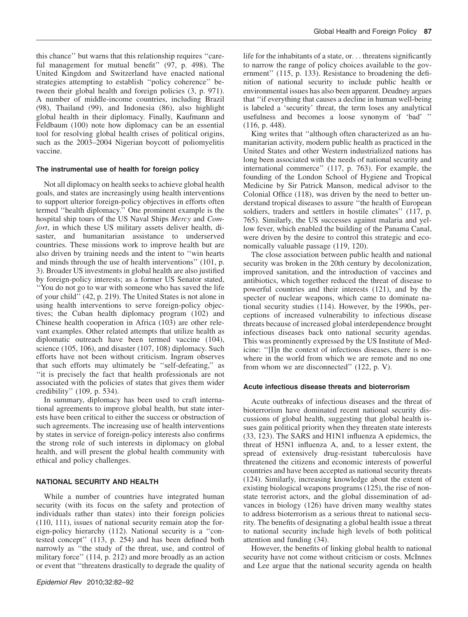this chance'' but warns that this relationship requires ''careful management for mutual benefit" (97, p. 498). The United Kingdom and Switzerland have enacted national strategies attempting to establish ''policy coherence'' between their global health and foreign policies (3, p. 971). A number of middle-income countries, including Brazil (98), Thailand (99), and Indonesia (86), also highlight global health in their diplomacy. Finally, Kaufmann and Feldbaum (100) note how diplomacy can be an essential tool for resolving global health crises of political origins, such as the 2003–2004 Nigerian boycott of poliomyelitis vaccine.

# The instrumental use of health for foreign policy

Not all diplomacy on health seeks to achieve global health goals, and states are increasingly using health interventions to support ulterior foreign-policy objectives in efforts often termed ''health diplomacy.'' One prominent example is the hospital ship tours of the US Naval Ships Mercy and Comfort, in which these US military assets deliver health, disaster, and humanitarian assistance to underserved countries. These missions work to improve health but are also driven by training needs and the intent to ''win hearts and minds through the use of health interventions'' (101, p. 3). Broader US investments in global health are also justified by foreign-policy interests; as a former US Senator stated, ''You do not go to war with someone who has saved the life of your child'' (42, p. 219). The United States is not alone in using health interventions to serve foreign-policy objectives; the Cuban health diplomacy program (102) and Chinese health cooperation in Africa (103) are other relevant examples. Other related attempts that utilize health as diplomatic outreach have been termed vaccine (104), science (105, 106), and disaster (107, 108) diplomacy. Such efforts have not been without criticism. Ingram observes that such efforts may ultimately be ''self-defeating,'' as ''it is precisely the fact that health professionals are not associated with the policies of states that gives them wider credibility'' (109, p. 534).

In summary, diplomacy has been used to craft international agreements to improve global health, but state interests have been critical to either the success or obstruction of such agreements. The increasing use of health interventions by states in service of foreign-policy interests also confirms the strong role of such interests in diplomacy on global health, and will present the global health community with ethical and policy challenges.

# NATIONAL SECURITY AND HEALTH

While a number of countries have integrated human security (with its focus on the safety and protection of individuals rather than states) into their foreign policies (110, 111), issues of national security remain atop the foreign-policy hierarchy (112). National security is a ''contested concept'' (113, p. 254) and has been defined both narrowly as ''the study of the threat, use, and control of military force" (114, p. 212) and more broadly as an action or event that ''threatens drastically to degrade the quality of

life for the inhabitants of a state, or... threatens significantly to narrow the range of policy choices available to the government'' (115, p. 133). Resistance to broadening the definition of national security to include public health or environmental issues has also been apparent. Deudney argues that ''if everything that causes a decline in human well-being is labeled a 'security' threat, the term loses any analytical usefulness and becomes a loose synonym of 'bad' '' (116, p. 448).

King writes that ''although often characterized as an humanitarian activity, modern public health as practiced in the United States and other Western industrialized nations has long been associated with the needs of national security and international commerce'' (117, p. 763). For example, the founding of the London School of Hygiene and Tropical Medicine by Sir Patrick Manson, medical advisor to the Colonial Office (118), was driven by the need to better understand tropical diseases to assure ''the health of European soldiers, traders and settlers in hostile climates" (117, p. 765). Similarly, the US successes against malaria and yellow fever, which enabled the building of the Panama Canal, were driven by the desire to control this strategic and economically valuable passage (119, 120).

The close association between public health and national security was broken in the 20th century by decolonization, improved sanitation, and the introduction of vaccines and antibiotics, which together reduced the threat of disease to powerful countries and their interests (121), and by the specter of nuclear weapons, which came to dominate national security studies (114). However, by the 1990s, perceptions of increased vulnerability to infectious disease threats because of increased global interdependence brought infectious diseases back onto national security agendas. This was prominently expressed by the US Institute of Medicine: ''[I]n the context of infectious diseases, there is nowhere in the world from which we are remote and no one from whom we are disconnected'' (122, p. V).

## Acute infectious disease threats and bioterrorism

Acute outbreaks of infectious diseases and the threat of bioterrorism have dominated recent national security discussions of global health, suggesting that global health issues gain political priority when they threaten state interests (33, 123). The SARS and H1N1 influenza A epidemics, the threat of H5N1 influenza A, and, to a lesser extent, the spread of extensively drug-resistant tuberculosis have threatened the citizens and economic interests of powerful countries and have been accepted as national security threats (124). Similarly, increasing knowledge about the extent of existing biological weapons programs (125), the rise of nonstate terrorist actors, and the global dissemination of advances in biology (126) have driven many wealthy states to address bioterrorism as a serious threat to national security. The benefits of designating a global health issue a threat to national security include high levels of both political attention and funding (34).

However, the benefits of linking global health to national security have not come without criticism or costs. McInnes and Lee argue that the national security agenda on health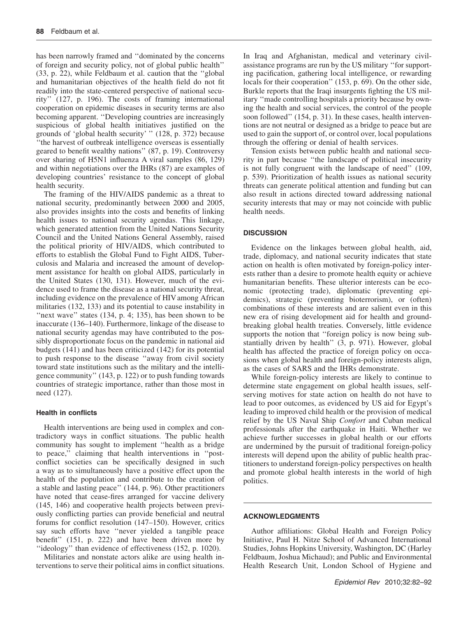has been narrowly framed and ''dominated by the concerns of foreign and security policy, not of global public health'' (33, p. 22), while Feldbaum et al. caution that the ''global and humanitarian objectives of the health field do not fit readily into the state-centered perspective of national security'' (127, p. 196). The costs of framing international cooperation on epidemic diseases in security terms are also becoming apparent. ''Developing countries are increasingly suspicious of global health initiatives justified on the grounds of 'global health security' '' (128, p. 372) because ''the harvest of outbreak intelligence overseas is essentially geared to benefit wealthy nations'' (87, p. 19). Controversy over sharing of H5N1 influenza A viral samples (86, 129) and within negotiations over the IHRs (87) are examples of developing countries' resistance to the concept of global health security.

The framing of the HIV/AIDS pandemic as a threat to national security, predominantly between 2000 and 2005, also provides insights into the costs and benefits of linking health issues to national security agendas. This linkage, which generated attention from the United Nations Security Council and the United Nations General Assembly, raised the political priority of HIV/AIDS, which contributed to efforts to establish the Global Fund to Fight AIDS, Tuberculosis and Malaria and increased the amount of development assistance for health on global AIDS, particularly in the United States (130, 131). However, much of the evidence used to frame the disease as a national security threat, including evidence on the prevalence of HIV among African militaries (132, 133) and its potential to cause instability in "next wave" states (134, p. 4; 135), has been shown to be inaccurate (136–140). Furthermore, linkage of the disease to national security agendas may have contributed to the possibly disproportionate focus on the pandemic in national aid budgets (141) and has been criticized (142) for its potential to push response to the disease ''away from civil society toward state institutions such as the military and the intelligence community'' (143, p. 122) or to push funding towards countries of strategic importance, rather than those most in need (127).

#### Health in conflicts

Health interventions are being used in complex and contradictory ways in conflict situations. The public health community has sought to implement ''health as a bridge to peace,'' claiming that health interventions in ''postconflict societies can be specifically designed in such a way as to simultaneously have a positive effect upon the health of the population and contribute to the creation of a stable and lasting peace'' (144, p. 96). Other practitioners have noted that cease-fires arranged for vaccine delivery (145, 146) and cooperative health projects between previously conflicting parties can provide beneficial and neutral forums for conflict resolution (147–150). However, critics say such efforts have ''never yielded a tangible peace benefit'' (151, p. 222) and have been driven more by ''ideology'' than evidence of effectiveness (152, p. 1020).

Militaries and nonstate actors alike are using health interventions to serve their political aims in conflict situations. In Iraq and Afghanistan, medical and veterinary civilassistance programs are run by the US military ''for supporting pacification, gathering local intelligence, or rewarding locals for their cooperation'' (153, p. 69). On the other side, Burkle reports that the Iraqi insurgents fighting the US military ''made controlling hospitals a priority because by owning the health and social services, the control of the people soon followed'' (154, p. 31). In these cases, health interventions are not neutral or designed as a bridge to peace but are used to gain the support of, or control over, local populations through the offering or denial of health services.

Tension exists between public health and national security in part because ''the landscape of political insecurity is not fully congruent with the landscape of need'' (109, p. 539). Prioritization of health issues as national security threats can generate political attention and funding but can also result in actions directed toward addressing national security interests that may or may not coincide with public health needs.

## **DISCUSSION**

Evidence on the linkages between global health, aid, trade, diplomacy, and national security indicates that state action on health is often motivated by foreign-policy interests rather than a desire to promote health equity or achieve humanitarian benefits. These ulterior interests can be economic (protecting trade), diplomatic (preventing epidemics), strategic (preventing bioterrorism), or (often) combinations of these interests and are salient even in this new era of rising development aid for health and groundbreaking global health treaties. Conversely, little evidence supports the notion that ''foreign policy is now being substantially driven by health'' (3, p. 971). However, global health has affected the practice of foreign policy on occasions when global health and foreign-policy interests align, as the cases of SARS and the IHRs demonstrate.

While foreign-policy interests are likely to continue to determine state engagement on global health issues, selfserving motives for state action on health do not have to lead to poor outcomes, as evidenced by US aid for Egypt's leading to improved child health or the provision of medical relief by the US Naval Ship Comfort and Cuban medical professionals after the earthquake in Haiti. Whether we achieve further successes in global health or our efforts are undermined by the pursuit of traditional foreign-policy interests will depend upon the ability of public health practitioners to understand foreign-policy perspectives on health and promote global health interests in the world of high politics.

#### ACKNOWLEDGMENTS

Author affiliations: Global Health and Foreign Policy Initiative, Paul H. Nitze School of Advanced International Studies, Johns Hopkins University, Washington, DC (Harley Feldbaum, Joshua Michaud); and Public and Environmental Health Research Unit, London School of Hygiene and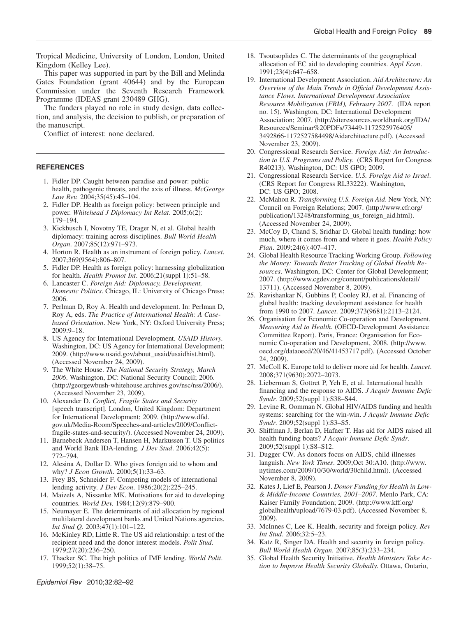Tropical Medicine, University of London, London, United Kingdom (Kelley Lee).

This paper was supported in part by the Bill and Melinda Gates Foundation (grant 40644) and by the European Commission under the Seventh Research Framework Programme (IDEAS grant 230489 GHG).

The funders played no role in study design, data collection, and analysis, the decision to publish, or preparation of the manuscript.

Conflict of interest: none declared.

#### **REFERENCES**

- 1. Fidler DP. Caught between paradise and power: public health, pathogenic threats, and the axis of illness. McGeorge Law Rev. 2004;35(45):45–104.
- 2. Fidler DP. Health as foreign policy: between principle and power. Whitehead J Diplomacy Int Relat. 2005;6(2): 179–194.
- 3. Kickbusch I, Novotny TE, Drager N, et al. Global health diplomacy: training across disciplines. Bull World Health Organ. 2007;85(12):971–973.
- 4. Horton R. Health as an instrument of foreign policy. Lancet. 2007;369(9564):806–807.
- 5. Fidler DP. Health as foreign policy: harnessing globalization for health. *Health Promot Int*. 2006;21(suppl 1):51-58.
- 6. Lancaster C. Foreign Aid: Diplomacy, Development, Domestic Politics. Chicago, IL: University of Chicago Press; 2006.
- 7. Perlman D, Roy A. Health and development. In: Perlman D, Roy A, eds. The Practice of International Health: A Casebased Orientation. New York, NY: Oxford University Press; 2009:9–18.
- 8. US Agency for International Development. USAID History. Washington, DC: US Agency for International Development; 2009. ([http://www.usaid.gov/about\\_usaid/usaidhist.html](http://www.usaid.gov/about_usaid/usaidhist.html)). (Accessed November 24, 2009).
- 9. The White House. The National Security Strategy, March 2006. Washington, DC: National Security Council; 2006. [\(http://georgewbush-whitehouse.archives.gov/nsc/nss/2006/\)](http://georgewbush-whitehouse.archives.gov/nsc/nss/2006/). (Accessed November 23, 2009).
- 10. Alexander D. Conflict, Fragile States and Security [speech transcript]. London, United Kingdom: Department for International Development; 2009. [\(http://www.dfid.](http://www.dfid.gov.uk/Media-Room/Speeches-and-articles/2009/Conflict-fragile-states-and-security/) [gov.uk/Media-Room/Speeches-and-articles/2009/Conflict](http://www.dfid.gov.uk/Media-Room/Speeches-and-articles/2009/Conflict-fragile-states-and-security/)[fragile-states-and-security/](http://www.dfid.gov.uk/Media-Room/Speeches-and-articles/2009/Conflict-fragile-states-and-security/)). (Accessed November 24, 2009).
- 11. Barnebeck Andersen T, Hansen H, Markussen T. US politics and World Bank IDA-lending. J Dev Stud. 2006;42(5): 772–794.
- 12. Alesina A, Dollar D. Who gives foreign aid to whom and why? *J Econ Growth*. 2000;5(1):33-63.
- 13. Frey BS, Schneider F. Competing models of international lending activity. J Dev Econ. 1986;20(2):225–245.
- 14. Maizels A, Nissanke MK. Motivations for aid to developing countries. World Dev. 1984;12(9):879–900.
- 15. Neumayer E. The determinants of aid allocation by regional multilateral development banks and United Nations agencies. Int Stud Q. 2003;47(1):101–122.
- 16. McKinley RD, Little R. The US aid relationship: a test of the recipient need and the donor interest models. Polit Stud. 1979;27(20):236–250.
- 17. Thacker SC. The high politics of IMF lending. World Polit. 1999;52(1):38–75.
- 18. Tsoutsoplides C. The determinants of the geographical allocation of EC aid to developing countries. Appl Econ. 1991;23(4):647–658.
- 19. International Development Association. Aid Architecture: An Overview of the Main Trends in Official Development Assistance Flows. International Development Association Resource Mobilization (FRM), February 2007. (IDA report no. 15). Washington, DC: International Development Association; 2007. ([http://siteresources.worldbank.org/IDA/](http://siteresources.worldbank.org/IDA/Resources/Seminar%20PDFs/73449-1172525976405/3492866-1172527584498/Aidarchitecture.pdf) [Resources/Seminar%20PDFs/73449-1172525976405/](http://siteresources.worldbank.org/IDA/Resources/Seminar%20PDFs/73449-1172525976405/3492866-1172527584498/Aidarchitecture.pdf) [3492866-1172527584498/Aidarchitecture.pdf](http://siteresources.worldbank.org/IDA/Resources/Seminar%20PDFs/73449-1172525976405/3492866-1172527584498/Aidarchitecture.pdf)). (Accessed November 23, 2009).
- 20. Congressional Research Service. Foreign Aid: An Introduction to U.S. Programs and Policy. (CRS Report for Congress R40213). Washington, DC: US GPO; 2009.
- 21. Congressional Research Service. U.S. Foreign Aid to Israel. (CRS Report for Congress RL33222). Washington, DC: US GPO; 2008.
- 22. McMahon R. Transforming U.S. Foreign Aid. New York, NY: Council on Foreign Relations; 2007. [\(http://www.cfr.org/](http://www.cfr.org/publication/13248/transforming_us_foreign_aid.html) [publication/13248/transforming\\_us\\_foreign\\_aid.html\)](http://www.cfr.org/publication/13248/transforming_us_foreign_aid.html). (Accessed November 24, 2009).
- 23. McCoy D, Chand S, Sridhar D. Global health funding: how much, where it comes from and where it goes. Health Policy Plan. 2009;24(6):407–417.
- 24. Global Health Resource Tracking Working Group. Following the Money: Towards Better Tracking of Global Health Resources. Washington, DC: Center for Global Development; 2007. ([http://www.cgdev.org/content/publications/detail/](http://www.cgdev.org/content/publications/detail/13711) [13711](http://www.cgdev.org/content/publications/detail/13711)). (Accessed November 8, 2009).
- 25. Ravishankar N, Gubbins P, Cooley RJ, et al. Financing of global health: tracking development assistance for health from 1990 to 2007. Lancet. 2009;373(9681):2113–2124.
- 26. Organisation for Economic Co-operation and Development. Measuring Aid to Health. (OECD-Development Assistance Committee Report). Paris, France: Organisation for Economic Co-operation and Development, 2008. ([http://www.](http://www.oecd.org/dataoecd/1/11/37461859.pdf) [oecd.org/dataoecd/20/46/41453717.pdf](http://www.oecd.org/dataoecd/1/11/37461859.pdf)). (Accessed October 24, 2009).
- 27. McColl K. Europe told to deliver more aid for health. Lancet. 2008;371(9630):2072–2073.
- 28. Lieberman S, Gottret P, Yeh E, et al. International health financing and the response to AIDS. J Acquir Immune Defic Syndr. 2009;52(suppl 1):S38-S44.
- 29. Levine R, Oomman N. Global HIV/AIDS funding and health systems: searching for the win-win. J Acquir Immune Defic Syndr. 2009;52(suppl 1):S3–S5.
- 30. Shiffman J, Berlan D, Hafner T. Has aid for AIDS raised all health funding boats? J Acquir Immune Defic Syndr. 2009;52(suppl 1):S8–S12.
- 31. Dugger CW. As donors focus on AIDS, child illnesses languish. New York Times. 2009;Oct 30:A10. ([http://www.](http://www.nytimes.com/2009/10/30/world/30child.html) [nytimes.com/2009/10/30/world/30child.html](http://www.nytimes.com/2009/10/30/world/30child.html)). (Accessed November 8, 2009).
- 32. Kates J, Lief E, Pearson J. Donor Funding for Health in Low- & Middle-Income Countries, 2001–2007. Menlo Park, CA: Kaiser Family Foundation; 2009. [\(http://www.kff.org/](http://www.kff.org/globalhealth/upload/7679-03.pdf) [globalhealth/upload/7679-03.pdf](http://www.kff.org/globalhealth/upload/7679-03.pdf)). (Accessed November 8, 2009).
- 33. McInnes C, Lee K. Health, security and foreign policy. Rev Int Stud. 2006;32:5–23.
- 34. Katz R, Singer DA. Health and security in foreign policy. Bull World Health Organ. 2007;85(3):233–234.
- 35. Global Health Security Initiative. Health Ministers Take Action to Improve Health Security Globally. Ottawa, Ontario,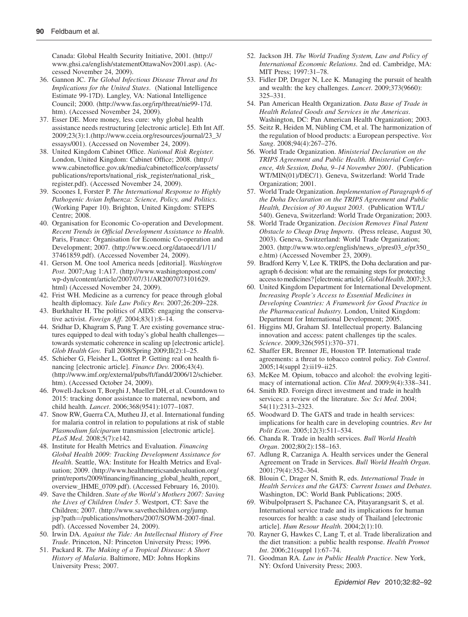Canada: Global Health Security Initiative, 2001. ([http://](http://www.ghsi.ca/english/statementOttawaNov2001.asp) [www.ghsi.ca/english/statementOttawaNov2001.asp](http://www.ghsi.ca/english/statementOttawaNov2001.asp)). (Accessed November 24, 2009).

- 36. Gannon JC. The Global Infectious Disease Threat and Its Implications for the United States. (National Intelligence Estimate 99-17D). Langley, VA: National Intelligence Council; 2000. ([http://www.fas.org/irp/threat/nie99-17d.](http://www.fas.org/irp/threat/nie99-17d.htm) [htm](http://www.fas.org/irp/threat/nie99-17d.htm)). (Accessed November 24, 2009).
- 37. Esser DE. More money, less cure: why global health assistance needs restructuring [electronic article]. Eth Int Aff. 2009;23(3):1.[\(http://www.cceia.org/resources/journal/23\\_3/](http://www.cceia.org/resources/journal/23_3/essays/001) [essays/001\)](http://www.cceia.org/resources/journal/23_3/essays/001). (Accessed on November 24, 2009).
- 38. United Kingdom Cabinet Office. National Risk Register. London, United Kingdom: Cabinet Office; 2008. [\(http://](http://www.cabinetoffice.gov.uk/media/cabinetoffice/corp/assets/publications/reports/national_risk_register/national_risk_register.pdf) [www.cabinetoffice.gov.uk/media/cabinetoffice/corp/assets/](http://www.cabinetoffice.gov.uk/media/cabinetoffice/corp/assets/publications/reports/national_risk_register/national_risk_register.pdf) [publications/reports/national\\_risk\\_register/national\\_risk\\_](http://www.cabinetoffice.gov.uk/media/cabinetoffice/corp/assets/publications/reports/national_risk_register/national_risk_register.pdf) [register.pdf\)](http://www.cabinetoffice.gov.uk/media/cabinetoffice/corp/assets/publications/reports/national_risk_register/national_risk_register.pdf). (Accessed November 24, 2009).
- 39. Scoones I, Forster P. The International Response to Highly Pathogenic Avian Influenza: Science, Policy, and Politics. (Working Paper 10). Brighton, United Kingdom: STEPS Centre; 2008.
- 40. Organisation for Economic Co-operation and Development. Recent Trends in Official Development Assistance to Health. Paris, France: Organisation for Economic Co-operation and Development; 2007. [\(http://www.oecd.org/dataoecd/1/11/](http://www.oecd.org/dataoecd/1/11/37461859.pdf) [37461859.pdf](http://www.oecd.org/dataoecd/1/11/37461859.pdf)). (Accessed November 24, 2009).
- 41. Gerson M. One tool America needs [editorial]. Washington Post. 2007;Aug 1:A17. [\(http://www.washingtonpost.com/](http://www.washingtonpost.com/wp-dyn/content/article/2007/07/31/AR2007073101629.html) [wp-dyn/content/article/2007/07/31/AR2007073101629.](http://www.washingtonpost.com/wp-dyn/content/article/2007/07/31/AR2007073101629.html) [html\)](http://www.washingtonpost.com/wp-dyn/content/article/2007/07/31/AR2007073101629.html) (Accessed November 24, 2009).
- 42. Frist WH. Medicine as a currency for peace through global health diplomacy. Yale Law Policy Rev. 2007;26:209–228.
- 43. Burkhalter H. The politics of AIDS: engaging the conservative activist. Foreign Aff. 2004;83(1):8–14.
- 44. Sridhar D, Khagram S, Pang T. Are existing governance structures equipped to deal with today's global health challenges towards systematic coherence in scaling up [electronic article]. Glob Health Gov. Fall 2008/Spring 2009;II(2):1–25.
- 45. Schieber G, Fleisher L, Gottret P. Getting real on health financing [electronic article]. Finance Dev. 2006;43(4). [\(http://www.imf.org/external/pubs/ft/fandd/2006/12/schieber.](http://www.imf.org/external/pubs/ft/fandd/2006/12/schieber.htm) [htm\)](http://www.imf.org/external/pubs/ft/fandd/2006/12/schieber.htm). (Accessed October 24, 2009).
- 46. Powell-Jackson T, Borghi J, Mueller DH, et al. Countdown to 2015: tracking donor assistance to maternal, newborn, and child health. Lancet. 2006;368(9541):1077–1087.
- 47. Snow RW, Guerra CA, Mutheu JJ, et al. International funding for malaria control in relation to populations at risk of stable Plasmodium falciparum transmission [electronic article]. PLoS Med. 2008;5(7):e142.
- 48. Institute for Health Metrics and Evaluation. Financing Global Health 2009: Tracking Development Assistance for Health. Seattle, WA: Institute for Health Metrics and Evaluation; 2009. ([http://www.healthmetricsandevaluation.org/](http://www.healthmetricsandevaluation.org/print/reports/2009/financing/financing_global_health_report_overview_IHME_0709.pdf) [print/reports/2009/financing/financing\\_global\\_health\\_report\\_](http://www.healthmetricsandevaluation.org/print/reports/2009/financing/financing_global_health_report_overview_IHME_0709.pdf) [overview\\_IHME\\_0709.pdf](http://www.healthmetricsandevaluation.org/print/reports/2009/financing/financing_global_health_report_overview_IHME_0709.pdf)). (Accessed February 16, 2010).
- 49. Save the Children. State of the World's Mothers 2007: Saving the Lives of Children Under 5. Westport, CT: Save the Children; 2007. ([http://www.savethechildren.org/jump.](http://www.savethechildren.org/jump.jsp?path=/publications/mothers/2007/SOWM-2007-final.pdf) [jsp?path](http://www.savethechildren.org/jump.jsp?path=/publications/mothers/2007/SOWM-2007-final.pdf)=[/publications/mothers/2007/SOWM-2007-final.](http://www.savethechildren.org/jump.jsp?path=/publications/mothers/2007/SOWM-2007-final.pdf) [pdf\)](http://www.savethechildren.org/jump.jsp?path=/publications/mothers/2007/SOWM-2007-final.pdf). (Accessed November 24, 2009).
- 50. Irwin DA. Against the Tide: An Intellectual History of Free Trade. Princeton, NJ: Princeton University Press; 1996.
- 51. Packard R. The Making of a Tropical Disease: A Short History of Malaria. Baltimore, MD: Johns Hopkins University Press; 2007.
- 52. Jackson JH. The World Trading System, Law and Policy of International Economic Relations. 2nd ed. Cambridge, MA: MIT Press; 1997:31–78.
- 53. Fidler DP, Drager N, Lee K. Managing the pursuit of health and wealth: the key challenges. Lancet. 2009;373(9660): 325–331.
- 54. Pan American Health Organization. Data Base of Trade in Health Related Goods and Services in the Americas. Washington, DC: Pan American Health Organization; 2003.
- 55. Seitz R, Heiden M, Nübling CM, et al. The harmonization of the regulation of blood products: a European perspective. Vox Sang. 2008;94(4):267–276.
- 56. World Trade Organization. Ministerial Declaration on the TRIPS Agreement and Public Health. Ministerial Conference, 4th Session, Doha, 9–14 November 2001. (Publication WT/MIN(01)/DEC/1). Geneva, Switzerland: World Trade Organization; 2001.
- 57. World Trade Organization. Implementation of Paragraph 6 of the Doha Declaration on the TRIPS Agreement and Public Health, Decision of 30 August 2003. (Publication WT/L/ 540). Geneva, Switzerland: World Trade Organization; 2003.
- 58. World Trade Organization. Decision Removes Final Patent Obstacle to Cheap Drug Imports. (Press release, August 30, 2003). Geneva, Switzerland: World Trade Organization; 2003. ([http://www.wto.org/english/news\\_e/pres03\\_e/pr350\\_](http://www.wto.org/english/news_e/pres03_e/pr350_e.htm) [e.htm](http://www.wto.org/english/news_e/pres03_e/pr350_e.htm)) (Accessed November 23, 2009).
- 59. Bradford Kerry V, Lee K. TRIPS, the Doha declaration and paragraph 6 decision: what are the remaining steps for protecting accessto medicines? [electronic article].Global Health. 2007;3:3.
- 60. United Kingdom Department for International Development. Increasing People's Access to Essential Medicines in Developing Countries: A Framework for Good Practice in the Pharmaceutical Industry. London, United Kingdom: Department for International Development; 2005.
- 61. Higgins MJ, Graham SJ. Intellectual property. Balancing innovation and access: patent challenges tip the scales. Science. 2009;326(5951):370–371.
- 62. Shaffer ER, Brenner JE, Houston TP. International trade agreements: a threat to tobacco control policy. Tob Control. 2005;14(suppl 2):ii19–ii25.
- 63. McKee M. Opium, tobacco and alcohol: the evolving legitimacy of international action. Clin Med. 2009;9(4):338–341.
- 64. Smith RD. Foreign direct investment and trade in health services: a review of the literature. Soc Sci Med. 2004; 54(11):2313–2323.
- 65. Woodward D. The GATS and trade in health services: implications for health care in developing countries. Rev Int Polit Econ. 2005;12(3):511–534.
- 66. Chanda R. Trade in health services. Bull World Health Organ. 2002;80(2):158–163.
- 67. Adlung R, Carzaniga A. Health services under the General Agreement on Trade in Services. Bull World Health Organ. 2001;79(4):352–364.
- 68. Blouin C, Drager N, Smith R, eds. International Trade in Health Services and the GATS: Current Issues and Debates. Washington, DC: World Bank Publications; 2005.
- 69. Wibulpolprasert S, Pachanee CA, Pitayarangsarit S, et al. International service trade and its implications for human resources for health: a case study of Thailand [electronic article]. Hum Resour Health. 2004;2(1):10.
- 70. Rayner G, Hawkes C, Lang T, et al. Trade liberalization and the diet transition: a public health response. Health Promot Int. 2006;21(suppl 1):67–74.
- 71. Goodman RA. Law in Public Health Practice. New York, NY: Oxford University Press; 2003.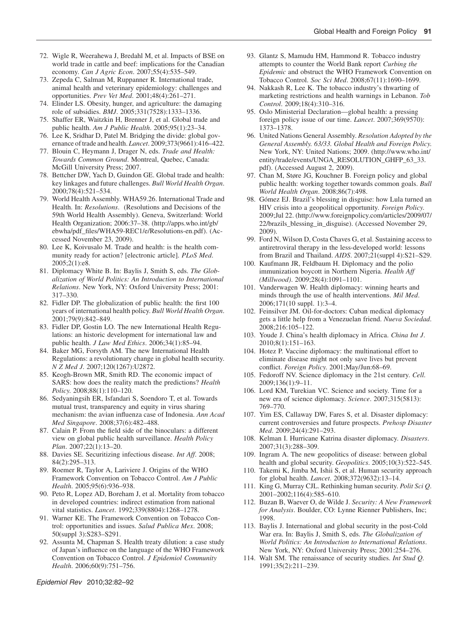- 72. Wigle R, Weerahewa J, Bredahl M, et al. Impacts of BSE on world trade in cattle and beef: implications for the Canadian economy. Can J Agric Econ. 2007;55(4):535–549.
- 73. Zepeda C, Salman M, Ruppanner R. International trade, animal health and veterinary epidemiology: challenges and opportunities. Prev Vet Med. 2001;48(4):261–271.
- 74. Elinder LS. Obesity, hunger, and agriculture: the damaging role of subsidies. BMJ. 2005;331(7528):1333–1336.
- 75. Shaffer ER, Waitzkin H, Brenner J, et al. Global trade and public health. Am J Public Health. 2005;95(1):23–34.
- 76. Lee K, Sridhar D, Patel M. Bridging the divide: global governance of trade and health. Lancet. 2009;373(9661):416–422.
- 77. Blouin C, Heymann J, Drager N, eds. Trade and Health: Towards Common Ground. Montreal, Quebec, Canada: McGill University Press; 2007.
- 78. Bettcher DW, Yach D, Guindon GE. Global trade and health: key linkages and future challenges. Bull World Health Organ. 2000;78(4):521–534.
- 79. World Health Assembly. WHA59.26. International Trade and Health. In: Resolutions. (Resolutions and Decisions of the 59th World Health Assembly). Geneva, Switzerland: World Health Organization; 2006:37–38. ([http://apps.who.int/gb/](http://apps.who.int/gb/ebwha/pdf_files/WHA59-REC1/e/Resolutions-en.pdf) [ebwha/pdf\\_files/WHA59-REC1/e/Resolutions-en.pdf](http://apps.who.int/gb/ebwha/pdf_files/WHA59-REC1/e/Resolutions-en.pdf)). (Accessed November 23, 2009).
- 80. Lee K, Koivusalo M. Trade and health: is the health community ready for action? [electronic article]. PLoS Med. 2005;2(1):e8.
- 81. Diplomacy White B. In: Baylis J, Smith S, eds. The Globalization of World Politics: An Introduction to International Relations. New York, NY: Oxford University Press; 2001: 317–330.
- 82. Fidler DP. The globalization of public health: the first 100 years of international health policy. Bull World Health Organ. 2001;79(9):842–849.
- 83. Fidler DP, Gostin LO. The new International Health Regulations: an historic development for international law and public health. J Law Med Ethics. 2006;34(1):85-94.
- 84. Baker MG, Forsyth AM. The new International Health Regulations: a revolutionary change in global health security. N Z Med J. 2007;120(1267):U2872.
- 85. Keogh-Brown MR, Smith RD. The economic impact of SARS: how does the reality match the predictions? Health Policy. 2008;88(1):110–120.
- 86. Sedyaningsih ER, Isfandari S, Soendoro T, et al. Towards mutual trust, transparency and equity in virus sharing mechanism: the avian influenza case of Indonesia. Ann Acad Med Singapore. 2008;37(6):482–488.
- 87. Calain P. From the field side of the binoculars: a different view on global public health surveillance. Health Policy Plan. 2007;22(1):13–20.
- 88. Davies SE. Securitizing infectious disease. Int Aff. 2008; 84(2):295–313.
- 89. Roemer R, Taylor A, Lariviere J. Origins of the WHO Framework Convention on Tobacco Control. Am J Public Health. 2005;95(6):936–938.
- 90. Peto R, Lopez AD, Boreham J, et al. Mortality from tobacco in developed countries: indirect estimation from national vital statistics. Lancet. 1992;339(8804):1268–1278.
- 91. Warner KE. The Framework Convention on Tobacco Control: opportunities and issues. Salud Publica Mex. 2008; 50(suppl 3):S283–S291.
- 92. Assunta M, Chapman S. Health treaty dilution: a case study of Japan's influence on the language of the WHO Framework Convention on Tobacco Control. J Epidemiol Community Health. 2006;60(9):751–756.
- 93. Glantz S, Mamudu HM, Hammond R. Tobacco industry attempts to counter the World Bank report Curbing the Epidemic and obstruct the WHO Framework Convention on Tobacco Control. Soc Sci Med. 2008;67(11):1690–1699.
- 94. Nakkash R, Lee K. The tobacco industry's thwarting of marketing restrictions and health warnings in Lebanon. Tob Control. 2009;18(4):310–316.
- 95. Oslo Ministerial Declaration—global health: a pressing foreign policy issue of our time. Lancet. 2007;369(9570): 1373–1378.
- 96. United Nations General Assembly. Resolution Adopted by the General Assembly. 63/33. Global Health and Foreign Policy. New York, NY: United Nations; 2009. [\(http://www.who.int/](http://www.who.int/entity/trade/events/UNGA_RESOLUTION_GHFP_63_33.pdf) [entity/trade/events/UNGA\\_RESOLUTION\\_GHFP\\_63\\_33.](http://www.who.int/entity/trade/events/UNGA_RESOLUTION_GHFP_63_33.pdf) [pdf\)](http://www.who.int/entity/trade/events/UNGA_RESOLUTION_GHFP_63_33.pdf). (Accessed August 2, 2009).
- 97. Chan M, Støre JG, Kouchner B. Foreign policy and global public health: working together towards common goals. Bull World Health Organ. 2008;86(7):498.
- 98. Gómez EJ. Brazil's blessing in disguise: how Lula turned an HIV crisis into a geopolitical opportunity. Foreign Policy. 2009;Jul 22. [\(http://www.foreignpolicy.com/articles/2009/07/](http://www.foreignpolicy.com/articles/2009/07/22/brazils_blessing_in_disguise) [22/brazils\\_blessing\\_in\\_disguise](http://www.foreignpolicy.com/articles/2009/07/22/brazils_blessing_in_disguise)). (Accessed November 29, 2009).
- 99. Ford N, Wilson D, Costa Chaves G, et al. Sustaining access to antiretroviral therapy in the less-developed world: lessons from Brazil and Thailand. AIDS. 2007;21(suppl 4):S21–S29.
- 100. Kaufmann JR, Feldbaum H. Diplomacy and the polio immunization boycott in Northern Nigeria. Health Aff (Millwood). 2009;28(4):1091–1101.
- 101. Vanderwagen W. Health diplomacy: winning hearts and minds through the use of health interventions. Mil Med. 2006;171(10 suppl. 1):3–4.
- 102. Feinsilver JM. Oil-for-doctors: Cuban medical diplomacy gets a little help from a Venezuelan friend. Nueva Sociedad. 2008;216:105–122.
- 103. Youde J. China's health diplomacy in Africa. China Int J. 2010;8(1):151–163.
- 104. Hotez P. Vaccine diplomacy: the multinational effort to eliminate disease might not only save lives but prevent conflict. Foreign Policy. 2001;May/Jun:68–69.
- 105. Fedoroff NV. Science diplomacy in the 21st century. Cell. 2009;136(1):9–11.
- 106. Lord KM, Turekian VC. Science and society. Time for a new era of science diplomacy. Science. 2007;315(5813): 769–770.
- 107. Yim ES, Callaway DW, Fares S, et al. Disaster diplomacy: current controversies and future prospects. Prehosp Disaster Med. 2009;24(4):291–293.
- 108. Kelman I. Hurricane Katrina disaster diplomacy. Disasters. 2007;31(3):288–309.
- 109. Ingram A. The new geopolitics of disease: between global health and global security. Geopolitics. 2005;10(3):522-545.
- 110. Takemi K, Jimba M, Ishii S, et al. Human security approach for global health. Lancet. 2008;372(9632):13–14.
- 111. King G, Murray CJL. Rethinking human security. Polit Sci Q. 2001–2002;116(4):585–610.
- 112. Buzan B, Waever O, de Wilde J. Security: A New Framework for Analysis. Boulder, CO: Lynne Rienner Publishers, Inc; 1998.
- 113. Baylis J. International and global security in the post-Cold War era. In: Baylis J, Smith S, eds. The Globalization of World Politics: An Introduction to International Relations. New York, NY: Oxford University Press; 2001:254–276.
- 114. Walt SM. The renaissance of security studies. Int Stud Q. 1991;35(2):211–239.